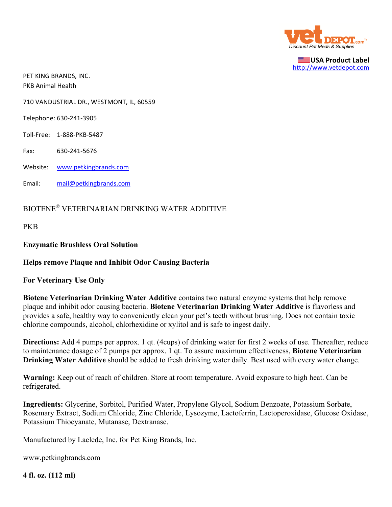

**USA Product Label** http://www.vetdepot.com

PET KING BRANDS, INC. PKB Animal Health

710 VANDUSTRIAL DR., WESTMONT, IL, 60559

Telephone: 630‐241‐3905

- Toll‐Free: 1‐888‐PKB‐5487
- Fax: 630‐241‐5676
- Website: www.petkingbrands.com

Email: mail@petkingbrands.com

## BIOTENE® VETERINARIAN DRINKING WATER ADDITIVE

PKB

## **Enzymatic Brushless Oral Solution**

## **Helps remove Plaque and Inhibit Odor Causing Bacteria**

## **For Veterinary Use Only**

**Biotene Veterinarian Drinking Water Additive** contains two natural enzyme systems that help remove plaque and inhibit odor causing bacteria. **Biotene Veterinarian Drinking Water Additive** is flavorless and provides a safe, healthy way to conveniently clean your pet's teeth without brushing. Does not contain toxic chlorine compounds, alcohol, chlorhexidine or xylitol and is safe to ingest daily.

**Directions:** Add 4 pumps per approx. 1 gt. (4cups) of drinking water for first 2 weeks of use. Thereafter, reduce to maintenance dosage of 2 pumps per approx. 1 qt. To assure maximum effectiveness, **Biotene Veterinarian Drinking Water Additive** should be added to fresh drinking water daily. Best used with every water change.

**Warning:** Keep out of reach of children. Store at room temperature. Avoid exposure to high heat. Can be refrigerated.

**Ingredients:** Glycerine, Sorbitol, Purified Water, Propylene Glycol, Sodium Benzoate, Potassium Sorbate, Rosemary Extract, Sodium Chloride, Zinc Chloride, Lysozyme, Lactoferrin, Lactoperoxidase, Glucose Oxidase, Potassium Thiocyanate, Mutanase, Dextranase.

Manufactured by Laclede, Inc. for Pet King Brands, Inc.

www.petkingbrands.com

**4 fl. oz. (112 ml)**